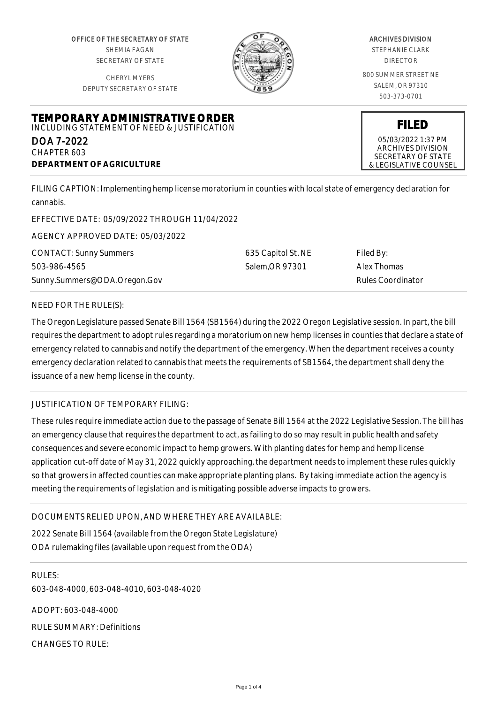OFFICE OF THE SECRETARY OF STATE SHEMIA FAGAN SECRETARY OF STATE

CHERYL MYERS DEPUTY SECRETARY OF STATE

**TEMPORARY ADMINISTRATIVE ORDER** INCLUDING STATEMENT OF NEED & JUSTIFICATION



#### ARCHIVES DIVISION STEPHANIE CLARK

DIRECTOR

800 SUMMER STREET NE SALEM, OR 97310 503-373-0701

**FILED** 05/03/2022 1:37 PM ARCHIVES DIVISION SECRETARY OF STATE & LEGISLATIVE COUNSEL

DOA 7-2022 CHAPTER 603 **DEPARTMENT OF AGRICULTURE**

FILING CAPTION: Implementing hemp license moratorium in counties with local state of emergency declaration for cannabis.

EFFECTIVE DATE: 05/09/2022 THROUGH 11/04/2022

AGENCY APPROVED DATE: 05/03/2022

CONTACT: Sunny Summers 503-986-4565 Sunny.Summers@ODA.Oregon.Gov 635 Capitol St. NE Salem,OR 97301

Filed By: Alex Thomas Rules Coordinator

## NEED FOR THE RULE(S):

The Oregon Legislature passed Senate Bill 1564 (SB1564) during the 2022 Oregon Legislative session. In part, the bill requires the department to adopt rules regarding a moratorium on new hemp licenses in counties that declare a state of emergency related to cannabis and notify the department of the emergency. When the department receives a county emergency declaration related to cannabis that meets the requirements of SB1564, the department shall deny the issuance of a new hemp license in the county.

# JUSTIFICATION OF TEMPORARY FILING:

These rules require immediate action due to the passage of Senate Bill 1564 at the 2022 Legislative Session. The bill has an emergency clause that requires the department to act, as failing to do so may result in public health and safety consequences and severe economic impact to hemp growers. With planting dates for hemp and hemp license application cut-off date of May 31, 2022 quickly approaching, the department needs to implement these rules quickly so that growers in affected counties can make appropriate planting plans. By taking immediate action the agency is meeting the requirements of legislation and is mitigating possible adverse impacts to growers.

## DOCUMENTS RELIED UPON, AND WHERE THEY ARE AVAILABLE:

2022 Senate Bill 1564 (available from the Oregon State Legislature) ODA rulemaking files (available upon request from the ODA)

RULES: 603-048-4000, 603-048-4010, 603-048-4020 ADOPT: 603-048-4000 RULE SUMMARY: Definitions CHANGES TO RULE: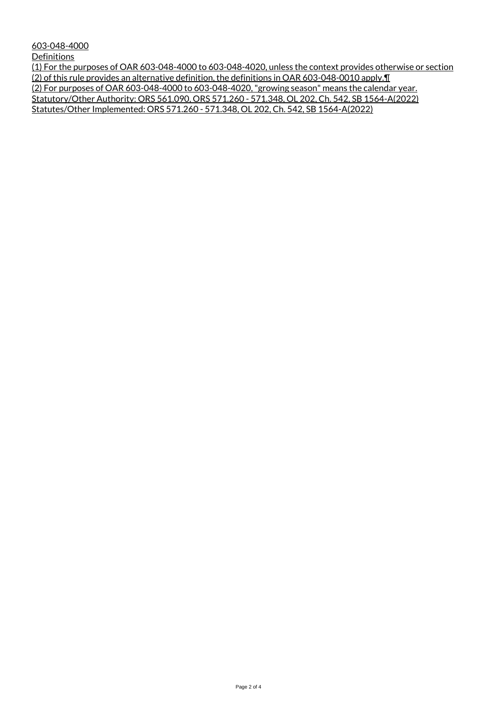603-048-4000

**Definitions** 

(1) For the purposes of OAR 603-048-4000 to 603-048-4020, unless the context provides otherwise or section (2) of this rule provides an alternative definition, the definitions in OAR 603-048-0010 apply.¶ (2) For purposes of OAR 603-048-4000 to 603-048-4020, "growing season" means the calendar year. Statutory/Other Authority: ORS 561.090, ORS 571.260 - 571.348, OL 202, Ch. 542, SB 1564-A(2022) Statutes/Other Implemented: ORS 571.260 - 571.348, OL 202, Ch. 542, SB 1564-A(2022)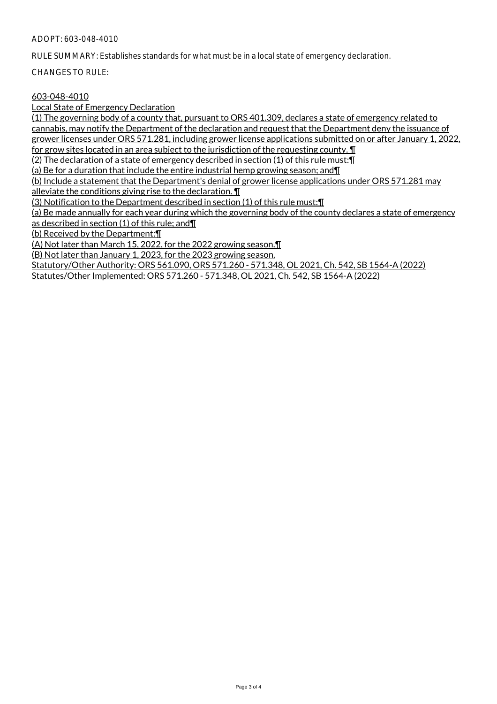#### ADOPT: 603-048-4010

RULE SUMMARY: Establishes standards for what must be in a local state of emergency declaration.

CHANGES TO RULE:

## 603-048-4010

Local State of Emergency Declaration

(1) The governing body of a county that, pursuant to ORS 401.309, declares a state of emergency related to cannabis, may notify the Department of the declaration and request that the Department deny the issuance of grower licenses under ORS 571.281, including grower license applications submitted on or after January 1, 2022, for grow sites located in an area subject to the jurisdiction of the requesting county. ¶ (2) The declaration of a state of emergency described in section (1) of this rule must:¶ (a) Be for a duration that include the entire industrial hemp growing season; and¶ (b) Include a statement that the Department's denial of grower license applications under ORS 571.281 may alleviate the conditions giving rise to the declaration. ¶ (3) Notification to the Department described in section (1) of this rule must:¶ (a) Be made annually for each year during which the governing body of the county declares a state of emergency as described in section (1) of this rule; and¶ (b) Received by the Department:¶ (A) Not later than March 15, 2022, for the 2022 growing season.¶ (B) Not later than January 1, 2023, for the 2023 growing season. Statutory/Other Authority: ORS 561.090, ORS 571.260 - 571.348, OL 2021, Ch. 542, SB 1564-A (2022)

Statutes/Other Implemented: ORS 571.260 - 571.348, OL 2021, Ch. 542, SB 1564-A (2022)